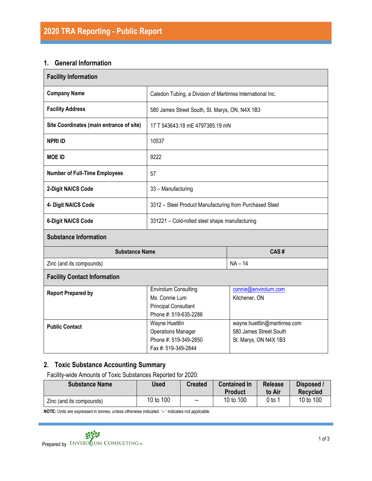## **1. General Information**

| <b>Facility Information</b>              |                                                                                                       |                                                                                 |  |  |
|------------------------------------------|-------------------------------------------------------------------------------------------------------|---------------------------------------------------------------------------------|--|--|
| <b>Company Name</b>                      | Caledon Tubing, a Division of Martinrea International Inc.                                            |                                                                                 |  |  |
| <b>Facility Address</b>                  | 580 James Street South, St. Marys, ON, N4X 1B3                                                        |                                                                                 |  |  |
| Site Coordinates (main entrance of site) | 17 T 543643.18 mE 4797385.19 mN                                                                       |                                                                                 |  |  |
| <b>NPRI ID</b>                           | 10537                                                                                                 |                                                                                 |  |  |
| <b>MOE ID</b>                            | 9222                                                                                                  |                                                                                 |  |  |
| <b>Number of Full-Time Employees</b>     | 57                                                                                                    |                                                                                 |  |  |
| 2-Digit NAICS Code                       | 33 - Manufacturing                                                                                    |                                                                                 |  |  |
| 4- Digit NAICS Code                      | 3312 - Steel Product Manufacturing from Purchased Steel                                               |                                                                                 |  |  |
| <b>6-Digit NAICS Code</b>                | 331221 - Cold-rolled steel shape manufacturing                                                        |                                                                                 |  |  |
| <b>Substance Information</b>             |                                                                                                       |                                                                                 |  |  |
| <b>Substance Name</b>                    |                                                                                                       | CAS#                                                                            |  |  |
| Zinc (and its compounds)                 |                                                                                                       | $NA - 14$                                                                       |  |  |
| <b>Facility Contact Information</b>      |                                                                                                       |                                                                                 |  |  |
| <b>Report Prepared by</b>                | <b>Envirolum Consulting</b><br>Ms. Connie Lum<br><b>Principal Consultant</b><br>Phone #: 519-635-2286 | connie@envirolum.com<br>Kitchener, ON                                           |  |  |
| <b>Public Contact</b>                    | Wayne Huettlin<br><b>Operations Manager</b><br>Phone #: 519-349-2850<br>Fax #: 519-349-2844           | wayne.huettlin@martinrea.com<br>580 James Street South<br>St. Marys, ON N4X 1B3 |  |  |

# **2. Toxic Substance Accounting Summary**

Facility-wide Amounts of Toxic Substances Reported for 2020:

| <b>Substance Name</b>    | Used      | <b>Created</b>    | <b>Contained In</b><br><b>Product</b> | <b>Release</b><br>to Air | Disposed /<br><b>Recycled</b> |
|--------------------------|-----------|-------------------|---------------------------------------|--------------------------|-------------------------------|
| Zinc (and its compounds) | 10 to 100 | $\hspace{0.05cm}$ | 10 to 100                             | 0 to 1                   | 10 to 100                     |

**NOTE:** Units are expressed in tonnes, unless otherwise indicated. '-- ' indicates not applicable.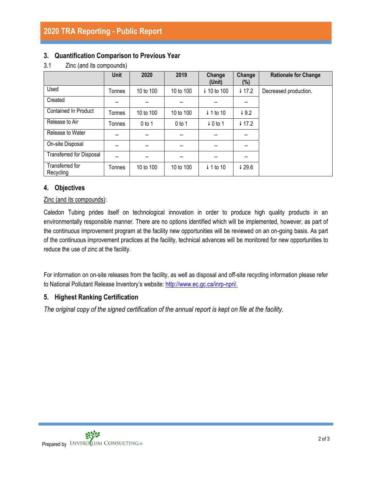## **3. Quantification Comparison to Previous Year**

|                                 | <b>Unit</b>    | 2020      | 2019      | Change<br>(Unit)     | Change<br>$(\%)$         | <b>Rationale for Change</b> |
|---------------------------------|----------------|-----------|-----------|----------------------|--------------------------|-----------------------------|
| Used                            | Tonnes         | 10 to 100 | 10 to 100 | ↓ 10 to 100          | $\downarrow$ 17.2        | Decreased production.       |
| Created                         | --             |           |           |                      |                          |                             |
| <b>Contained In Product</b>     | Tonnes         | 10 to 100 | 10 to 100 | $\downarrow$ 1 to 10 | $\downarrow$ 9.2         |                             |
| Release to Air                  | Tonnes         | $0$ to 1  | $0$ to 1  | $\downarrow$ 0 to 1  | $+ 17.2$                 |                             |
| Release to Water                | --             | --        | --        | $-$                  | $\overline{\phantom{a}}$ |                             |
| On-site Disposal                | --             | $- -$     | --        | $- -$                | $-$                      |                             |
| <b>Transferred for Disposal</b> | $\overline{a}$ | --        | --        | --                   | --                       |                             |
| Transferred for<br>Recycling    | Tonnes         | 10 to 100 | 10 to 100 | $\downarrow$ 1 to 10 | 429.6                    |                             |

#### 3.1 Zinc (and its compounds)

## **4. Objectives**

#### Zinc (and its compounds):

Caledon Tubing prides itself on technological innovation in order to produce high quality products in an environmentally responsible manner. There are no options identified which will be implemented, however, as part of the continuous improvement program at the facility new opportunities will be reviewed on an on-going basis. As part of the continuous improvement practices at the facility, technical advances will be monitored for new opportunities to reduce the use of zinc at the facility.

For information on on-site releases from the facility, as well as disposal and off-site recycling information please refer to National Pollutant Release Inventory's website: [http://www.ec.gc.ca/inrp-npri/.](http://www.ec.gc.ca/inrp-npri/)

## **5. Highest Ranking Certification**

*The original copy of the signed certification of the annual report is kept on file at the facility.*